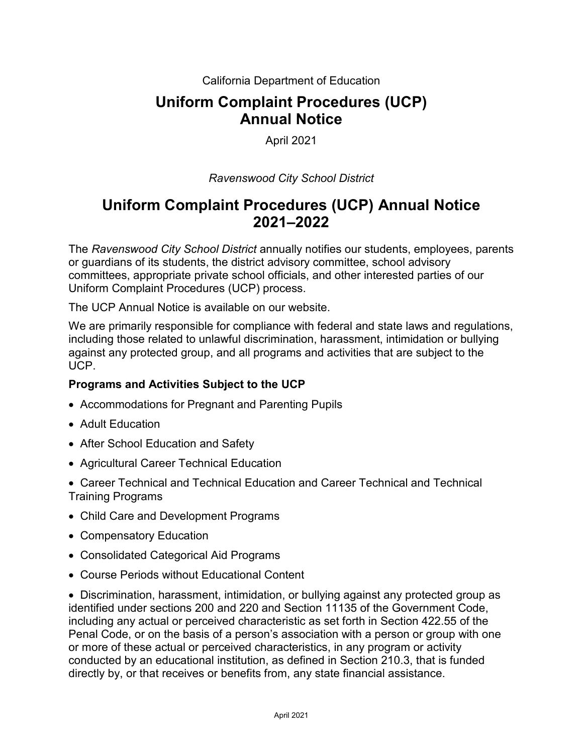California Department of Education

# **Uniform Complaint Procedures (UCP) Annual Notice**

### April 2021

### *Ravenswood City School District*

# **Uniform Complaint Procedures (UCP) Annual Notice 2021–2022**

The *Ravenswood City School District* annually notifies our students, employees, parents or guardians of its students, the district advisory committee, school advisory committees, appropriate private school officials, and other interested parties of our Uniform Complaint Procedures (UCP) process.

The UCP Annual Notice is available on our website.

We are primarily responsible for compliance with federal and state laws and regulations, including those related to unlawful discrimination, harassment, intimidation or bullying against any protected group, and all programs and activities that are subject to the UCP.

#### **Programs and Activities Subject to the UCP**

- Accommodations for Pregnant and Parenting Pupils
- Adult Education
- After School Education and Safety
- Agricultural Career Technical Education
- Career Technical and Technical Education and Career Technical and Technical Training Programs
- Child Care and Development Programs
- Compensatory Education
- Consolidated Categorical Aid Programs
- Course Periods without Educational Content

• Discrimination, harassment, intimidation, or bullying against any protected group as identified under sections 200 and 220 and Section 11135 of the Government Code, including any actual or perceived characteristic as set forth in Section 422.55 of the Penal Code, or on the basis of a person's association with a person or group with one or more of these actual or perceived characteristics, in any program or activity conducted by an educational institution, as defined in Section 210.3, that is funded directly by, or that receives or benefits from, any state financial assistance.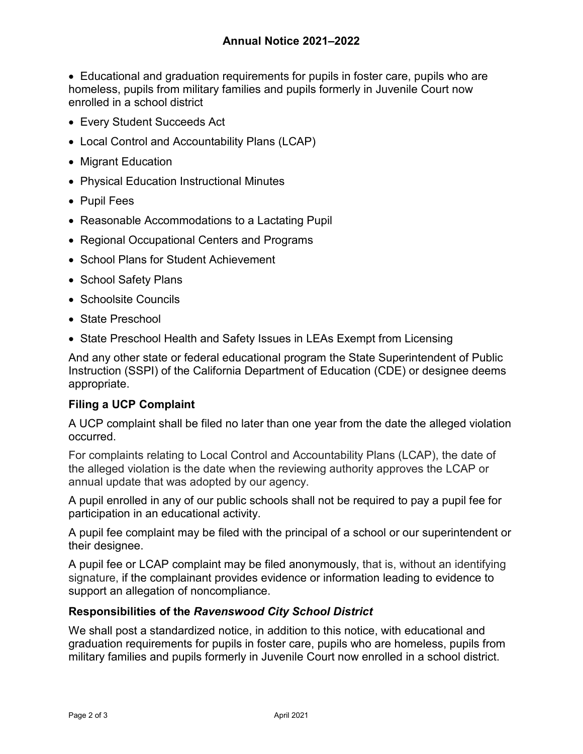• Educational and graduation requirements for pupils in foster care, pupils who are homeless, pupils from military families and pupils formerly in Juvenile Court now enrolled in a school district

- Every Student Succeeds Act
- Local Control and Accountability Plans (LCAP)
- Migrant Education
- Physical Education Instructional Minutes
- Pupil Fees
- Reasonable Accommodations to a Lactating Pupil
- Regional Occupational Centers and Programs
- School Plans for Student Achievement
- School Safety Plans
- Schoolsite Councils
- State Preschool
- State Preschool Health and Safety Issues in LEAs Exempt from Licensing

And any other state or federal educational program the State Superintendent of Public Instruction (SSPI) of the California Department of Education (CDE) or designee deems appropriate.

## **Filing a UCP Complaint**

A UCP complaint shall be filed no later than one year from the date the alleged violation occurred.

For complaints relating to Local Control and Accountability Plans (LCAP), the date of the alleged violation is the date when the reviewing authority approves the LCAP or annual update that was adopted by our agency.

A pupil enrolled in any of our public schools shall not be required to pay a pupil fee for participation in an educational activity.

A pupil fee complaint may be filed with the principal of a school or our superintendent or their designee.

A pupil fee or LCAP complaint may be filed anonymously, that is, without an identifying signature, if the complainant provides evidence or information leading to evidence to support an allegation of noncompliance.

#### **Responsibilities of the** *Ravenswood City School District*

We shall post a standardized notice, in addition to this notice, with educational and graduation requirements for pupils in foster care, pupils who are homeless, pupils from military families and pupils formerly in Juvenile Court now enrolled in a school district.